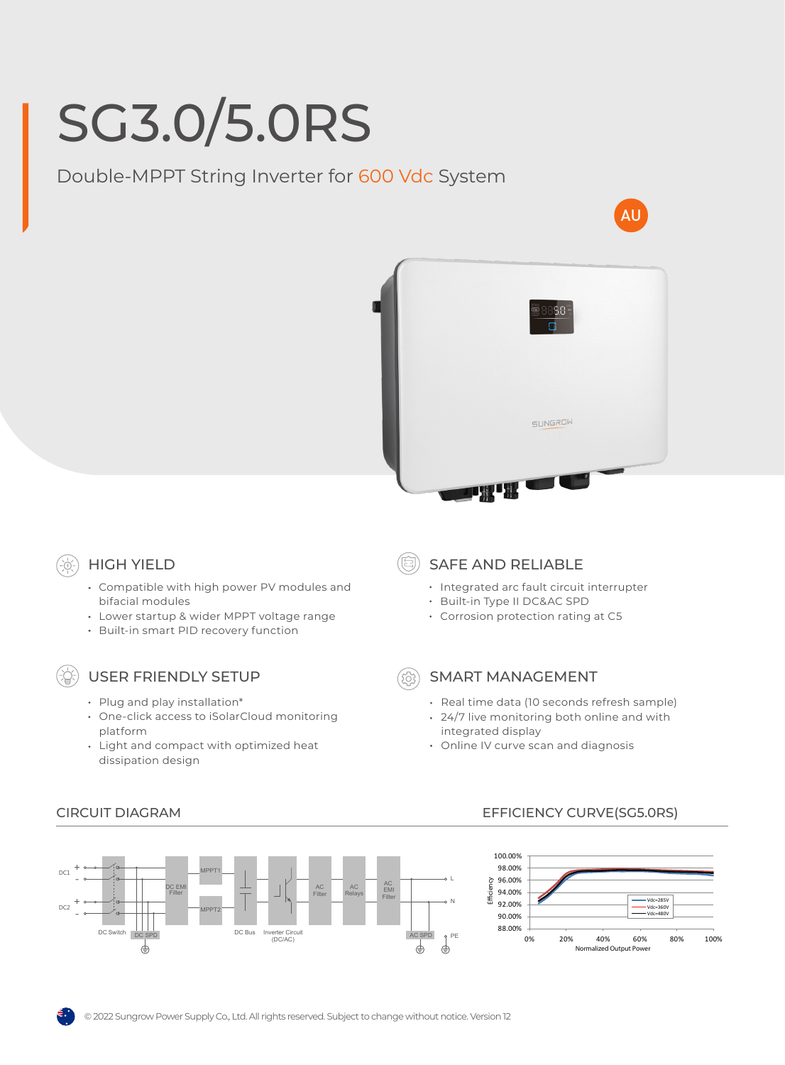# SG3.0/5.0RS

Double-MPPT String Inverter for 600 Vdc System





# HIGH YIELD

- Compatible with high power PV modules and bifacial modules
- Lower startup & wider MPPT voltage range
- Built-in smart PID recovery function

## USER FRIENDLY SETUP

- Plug and play installation\*
- One-click access to iSolarCloud monitoring platform
- Light and compact with optimized heat dissipation design
- SAFE AND RELIABLE
	- Integrated arc fault circuit interrupter
	- Built-in Type II DC&AC SPD
	- Corrosion protection rating at C5
- 

#### SMART MANAGEMENT

- Real time data (10 seconds refresh sample)
- 24/7 live monitoring both online and with integrated display
- Online IV curve scan and diagnosis



### CIRCUIT DIAGRAM EFFICIENCY CURVE(SG5.0RS)